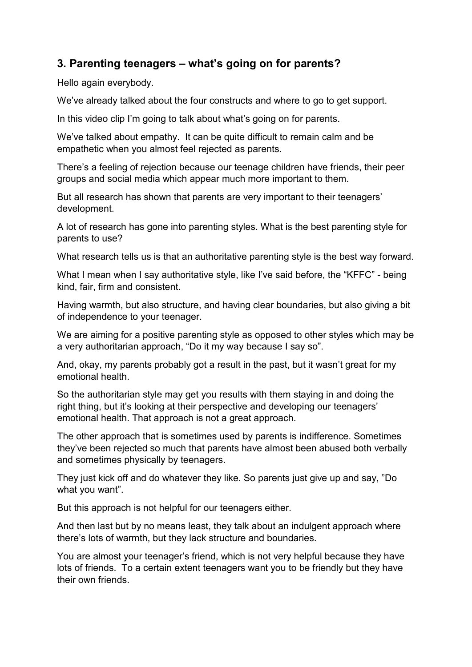## **3. Parenting teenagers – what's going on for parents?**

Hello again everybody.

We've already talked about the four constructs and where to go to get support.

In this video clip I'm going to talk about what's going on for parents.

We've talked about empathy. It can be quite difficult to remain calm and be empathetic when you almost feel rejected as parents.

There's a feeling of rejection because our teenage children have friends, their peer groups and social media which appear much more important to them.

But all research has shown that parents are very important to their teenagers' development.

A lot of research has gone into parenting styles. What is the best parenting style for parents to use?

What research tells us is that an authoritative parenting style is the best way forward.

What I mean when I say authoritative style, like I've said before, the "KFFC" - being kind, fair, firm and consistent.

Having warmth, but also structure, and having clear boundaries, but also giving a bit of independence to your teenager.

We are aiming for a positive parenting style as opposed to other styles which may be a very authoritarian approach, "Do it my way because I say so".

And, okay, my parents probably got a result in the past, but it wasn't great for my emotional health.

So the authoritarian style may get you results with them staying in and doing the right thing, but it's looking at their perspective and developing our teenagers' emotional health. That approach is not a great approach.

The other approach that is sometimes used by parents is indifference. Sometimes they've been rejected so much that parents have almost been abused both verbally and sometimes physically by teenagers.

They just kick off and do whatever they like. So parents just give up and say, "Do what you want".

But this approach is not helpful for our teenagers either.

And then last but by no means least, they talk about an indulgent approach where there's lots of warmth, but they lack structure and boundaries.

You are almost your teenager's friend, which is not very helpful because they have lots of friends. To a certain extent teenagers want you to be friendly but they have their own friends.